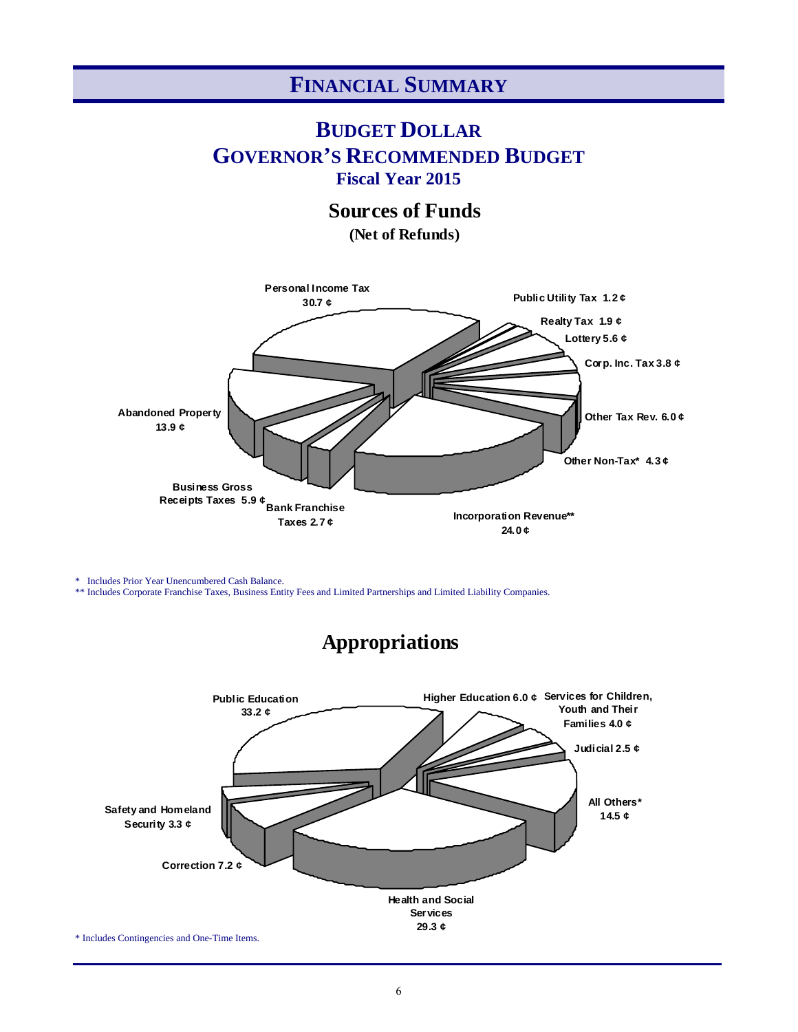### **FINANCIAL SUMMARY**

#### **BUDGET DOLLAR GOVERNOR'S RECOMMENDED BUDGET Fiscal Year 2015**

### **Sources of Funds**

**(Net of Refunds)**



\* Includes Prior Year Unencumbered Cash Balance.

\*\* Includes Corporate Franchise Taxes, Business Entity Fees and Limited Partnerships and Limited Liability Companies.

### **Appropriations**

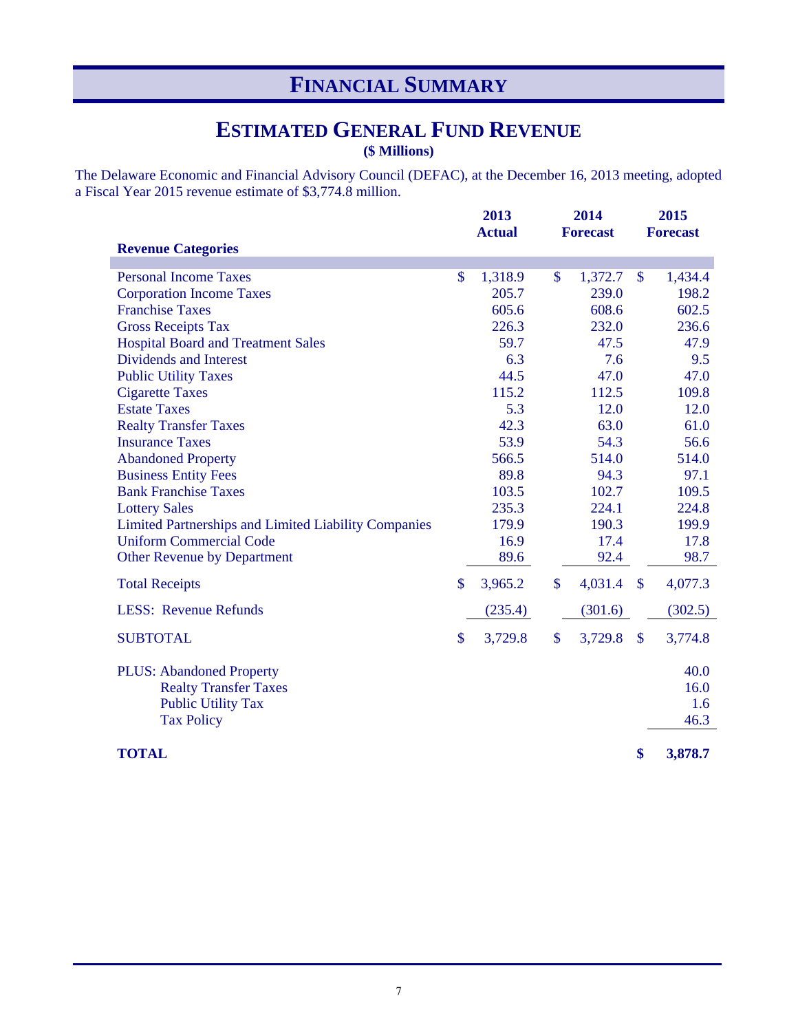# **FINANCIAL SUMMARY**

### **ESTIMATED GENERAL FUND REVENUE**

**(\$ Millions)**

The Delaware Economic and Financial Advisory Council (DEFAC), at the December 16, 2013 meeting, adopted a Fiscal Year 2015 revenue estimate of \$3,774.8 million.

|                                                      | 2013             | 2014          |                  | 2015          |                  |
|------------------------------------------------------|------------------|---------------|------------------|---------------|------------------|
|                                                      | <b>Actual</b>    |               | <b>Forecast</b>  |               | <b>Forecast</b>  |
| <b>Revenue Categories</b>                            |                  |               |                  |               |                  |
| <b>Personal Income Taxes</b>                         | \$               | $\mathsf{\$}$ |                  | $\mathcal{S}$ |                  |
| <b>Corporation Income Taxes</b>                      | 1,318.9<br>205.7 |               | 1,372.7<br>239.0 |               | 1,434.4<br>198.2 |
| <b>Franchise Taxes</b>                               | 605.6            |               | 608.6            |               | 602.5            |
| <b>Gross Receipts Tax</b>                            | 226.3            |               | 232.0            |               | 236.6            |
| <b>Hospital Board and Treatment Sales</b>            | 59.7             |               | 47.5             |               | 47.9             |
| Dividends and Interest                               | 6.3              |               | 7.6              |               | 9.5              |
| <b>Public Utility Taxes</b>                          | 44.5             |               | 47.0             |               | 47.0             |
| <b>Cigarette Taxes</b>                               | 115.2            |               | 112.5            |               | 109.8            |
| <b>Estate Taxes</b>                                  | 5.3              |               | 12.0             |               | 12.0             |
| <b>Realty Transfer Taxes</b>                         | 42.3             |               | 63.0             |               | 61.0             |
| <b>Insurance Taxes</b>                               | 53.9             |               | 54.3             |               | 56.6             |
| <b>Abandoned Property</b>                            | 566.5            |               | 514.0            |               | 514.0            |
| <b>Business Entity Fees</b>                          | 89.8             |               | 94.3             |               | 97.1             |
| <b>Bank Franchise Taxes</b>                          | 103.5            |               | 102.7            |               | 109.5            |
| <b>Lottery Sales</b>                                 | 235.3            |               | 224.1            |               | 224.8            |
| Limited Partnerships and Limited Liability Companies | 179.9            |               | 190.3            |               | 199.9            |
| <b>Uniform Commercial Code</b>                       | 16.9             |               | 17.4             |               | 17.8             |
| <b>Other Revenue by Department</b>                   | 89.6             |               | 92.4             |               | 98.7             |
| <b>Total Receipts</b>                                | \$<br>3,965.2    | $\mathbf{\$}$ | 4,031.4          | $\mathcal{S}$ | 4,077.3          |
| <b>LESS: Revenue Refunds</b>                         | (235.4)          |               | (301.6)          |               | (302.5)          |
| <b>SUBTOTAL</b>                                      | \$<br>3,729.8    | \$            | 3,729.8          | $\mathcal{S}$ | 3,774.8          |
| <b>PLUS: Abandoned Property</b>                      |                  |               |                  |               | 40.0             |
| <b>Realty Transfer Taxes</b>                         |                  |               |                  |               | 16.0             |
| <b>Public Utility Tax</b>                            |                  |               |                  |               | 1.6              |
| <b>Tax Policy</b>                                    |                  |               |                  |               | 46.3             |
|                                                      |                  |               |                  |               |                  |
| <b>TOTAL</b>                                         |                  |               |                  | \$            | 3,878.7          |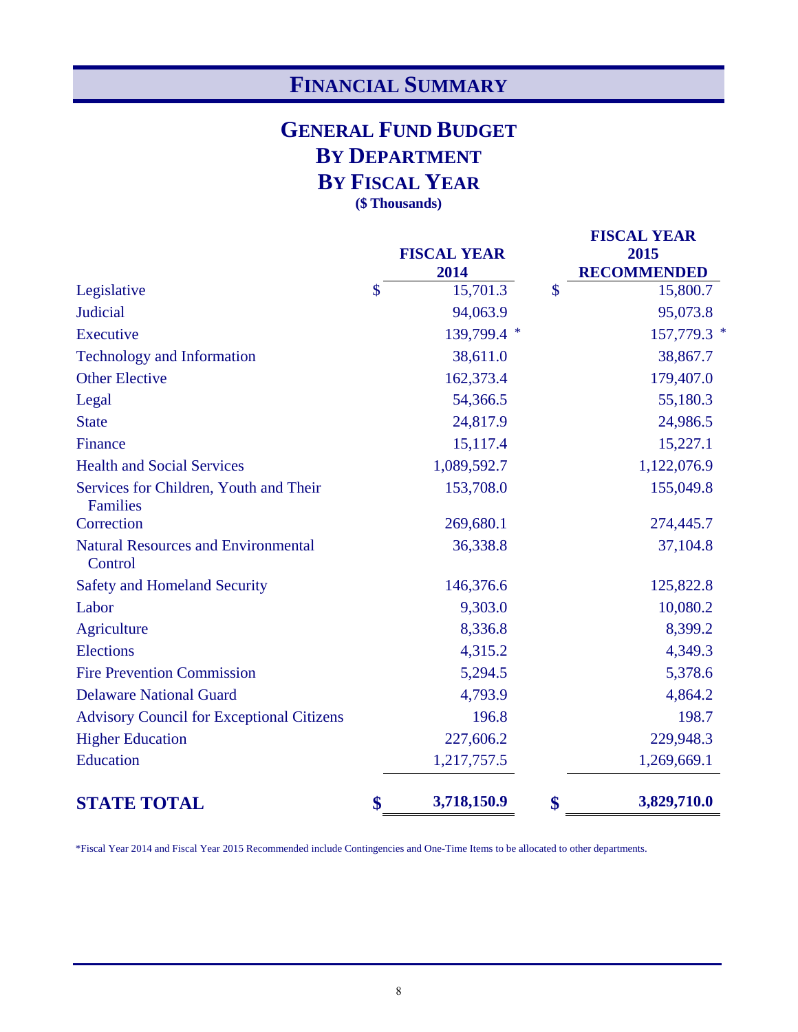# **FINANCIAL SUMMARY**

### **GENERAL FUND BUDGET BY DEPARTMENT BY FISCAL YEAR (\$ Thousands)**

|                                                           | <b>FISCAL YEAR</b><br>2014 | <b>FISCAL YEAR</b><br>2015<br><b>RECOMMENDED</b> |
|-----------------------------------------------------------|----------------------------|--------------------------------------------------|
| Legislative                                               | \$<br>15,701.3             | \$<br>15,800.7                                   |
| <b>Judicial</b>                                           | 94,063.9                   | 95,073.8                                         |
| Executive                                                 | 139,799.4 *                | 157,779.3 *                                      |
| <b>Technology and Information</b>                         | 38,611.0                   | 38,867.7                                         |
| <b>Other Elective</b>                                     | 162,373.4                  | 179,407.0                                        |
| Legal                                                     | 54,366.5                   | 55,180.3                                         |
| <b>State</b>                                              | 24,817.9                   | 24,986.5                                         |
| Finance                                                   | 15,117.4                   | 15,227.1                                         |
| <b>Health and Social Services</b>                         | 1,089,592.7                | 1,122,076.9                                      |
| Services for Children, Youth and Their<br><b>Families</b> | 153,708.0                  | 155,049.8                                        |
| Correction                                                | 269,680.1                  | 274,445.7                                        |
| <b>Natural Resources and Environmental</b><br>Control     | 36,338.8                   | 37,104.8                                         |
| <b>Safety and Homeland Security</b>                       | 146,376.6                  | 125,822.8                                        |
| Labor                                                     | 9,303.0                    | 10,080.2                                         |
| Agriculture                                               | 8,336.8                    | 8,399.2                                          |
| Elections                                                 | 4,315.2                    | 4,349.3                                          |
| <b>Fire Prevention Commission</b>                         | 5,294.5                    | 5,378.6                                          |
| <b>Delaware National Guard</b>                            | 4,793.9                    | 4,864.2                                          |
| <b>Advisory Council for Exceptional Citizens</b>          | 196.8                      | 198.7                                            |
| <b>Higher Education</b>                                   | 227,606.2                  | 229,948.3                                        |
| Education                                                 | 1,217,757.5                | 1,269,669.1                                      |
| <b>STATE TOTAL</b>                                        | \$<br>3,718,150.9          | \$<br>3,829,710.0                                |

\*Fiscal Year 2014 and Fiscal Year 2015 Recommended include Contingencies and One-Time Items to be allocated to other departments.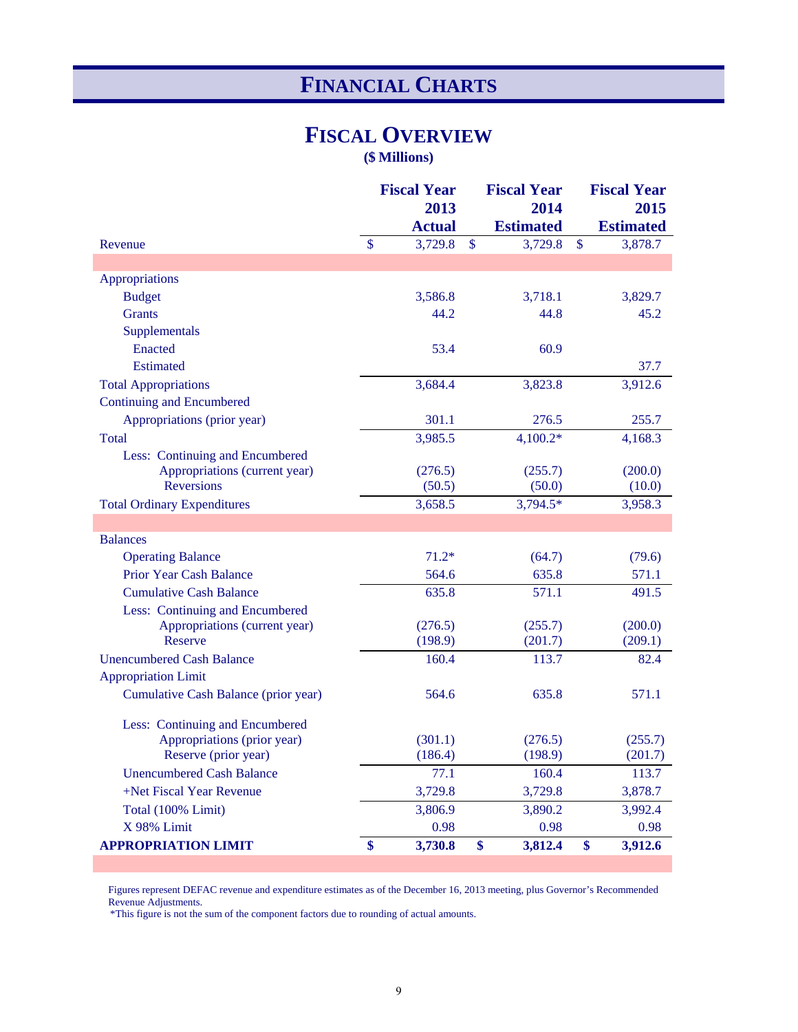### **FINANCIAL CHARTS**

### **FISCAL OVERVIEW**

**(\$ Millions)** 

|                                      |                | <b>Fiscal Year</b> |               | <b>Fiscal Year</b> |                | <b>Fiscal Year</b> |
|--------------------------------------|----------------|--------------------|---------------|--------------------|----------------|--------------------|
|                                      |                | 2013               |               | 2014               |                | 2015               |
|                                      |                | <b>Actual</b>      |               | <b>Estimated</b>   |                | <b>Estimated</b>   |
| Revenue                              | $\mathbf{\$\}$ | 3,729.8            | $\mathsf{\$}$ | 3,729.8            | $\mathbf{\$\}$ | 3,878.7            |
|                                      |                |                    |               |                    |                |                    |
| Appropriations                       |                |                    |               |                    |                |                    |
| <b>Budget</b>                        |                | 3,586.8            |               | 3,718.1            |                | 3,829.7            |
| <b>Grants</b>                        |                | 44.2               |               | 44.8               |                | 45.2               |
| Supplementals                        |                |                    |               |                    |                |                    |
| Enacted                              |                | 53.4               |               | 60.9               |                |                    |
| <b>Estimated</b>                     |                |                    |               |                    |                | 37.7               |
| <b>Total Appropriations</b>          |                | 3,684.4            |               | 3,823.8            |                | 3,912.6            |
| <b>Continuing and Encumbered</b>     |                |                    |               |                    |                |                    |
| Appropriations (prior year)          |                | 301.1              |               | 276.5              |                | 255.7              |
| <b>Total</b>                         |                | 3,985.5            |               | $4,100.2*$         |                | 4,168.3            |
| Less: Continuing and Encumbered      |                |                    |               |                    |                |                    |
| Appropriations (current year)        |                | (276.5)            |               | (255.7)            |                | (200.0)            |
| <b>Reversions</b>                    |                | (50.5)             |               | (50.0)             |                | (10.0)             |
| <b>Total Ordinary Expenditures</b>   |                | 3,658.5            |               | 3,794.5*           |                | 3,958.3            |
|                                      |                |                    |               |                    |                |                    |
| <b>Balances</b>                      |                |                    |               |                    |                |                    |
| <b>Operating Balance</b>             |                | $71.2*$            |               | (64.7)             |                | (79.6)             |
| <b>Prior Year Cash Balance</b>       |                | 564.6              |               | 635.8              |                | 571.1              |
| <b>Cumulative Cash Balance</b>       |                | 635.8              |               | 571.1              |                | 491.5              |
| Less: Continuing and Encumbered      |                |                    |               |                    |                |                    |
| Appropriations (current year)        |                | (276.5)            |               | (255.7)            |                | (200.0)            |
| Reserve                              |                | (198.9)            |               | (201.7)            |                | (209.1)            |
| <b>Unencumbered Cash Balance</b>     |                | 160.4              |               | 113.7              |                | 82.4               |
| <b>Appropriation Limit</b>           |                |                    |               |                    |                |                    |
| Cumulative Cash Balance (prior year) |                | 564.6              |               | 635.8              |                | 571.1              |
| Less: Continuing and Encumbered      |                |                    |               |                    |                |                    |
| Appropriations (prior year)          |                | (301.1)            |               | (276.5)            |                | (255.7)            |
| Reserve (prior year)                 |                | (186.4)            |               | (198.9)            |                | (201.7)            |
| <b>Unencumbered Cash Balance</b>     |                | 77.1               |               | 160.4              |                | 113.7              |
| +Net Fiscal Year Revenue             |                | 3,729.8            |               | 3,729.8            |                | 3,878.7            |
| Total (100% Limit)                   |                | 3,806.9            |               | 3,890.2            |                | 3,992.4            |
| X 98% Limit                          |                | 0.98               |               | 0.98               |                | 0.98               |
| <b>APPROPRIATION LIMIT</b>           | \$             | 3,730.8            | \$            | 3,812.4            | \$             | 3,912.6            |

 Figures represent DEFAC revenue and expenditure estimates as of the December 16, 2013 meeting, plus Governor's Recommended Revenue Adjustments.

\*This figure is not the sum of the component factors due to rounding of actual amounts.